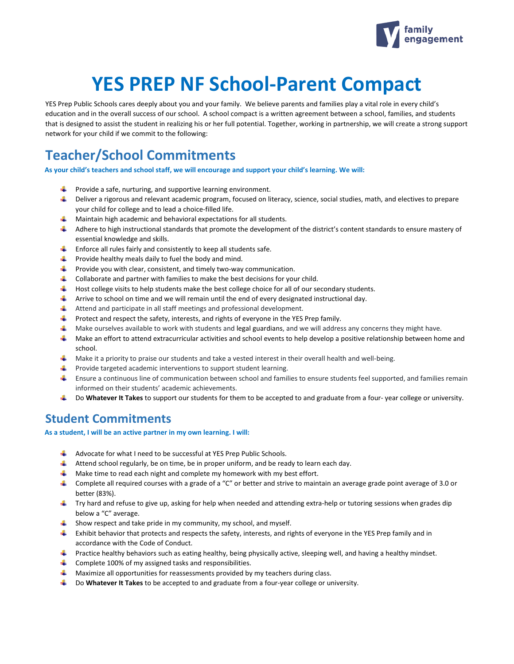

# **YES PREP NF School-Parent Compact**

YES Prep Public Schools cares deeply about you and your family. We believe parents and families play a vital role in every child's education and in the overall success of our school. A school compact is a written agreement between a school, families, and students that is designed to assist the student in realizing his or her full potential. Together, working in partnership, we will create a strong support network for your child if we commit to the following:

## **Teacher/School Commitments**

**As your child's teachers and school staff, we will encourage and support your child's learning. We will:**

- $\ddot{\phantom{1}}$  Provide a safe, nurturing, and supportive learning environment.
- Deliver a rigorous and relevant academic program, focused on literacy, science, social studies, math, and electives to prepare your child for college and to lead a choice-filled life.
- $\ddot{\bullet}$  Maintain high academic and behavioral expectations for all students.
- Adhere to high instructional standards that promote the development of the district's content standards to ensure mastery of essential knowledge and skills.
- $\blacksquare$  Enforce all rules fairly and consistently to keep all students safe.
- $\ddot{\phantom{1}}$  Provide healthy meals daily to fuel the body and mind.
- $\ddot{\phantom{1}}$  Provide you with clear, consistent, and timely two-way communication.
- 4 Collaborate and partner with families to make the best decisions for your child.
- $\blacksquare$  Host college visits to help students make the best college choice for all of our secondary students.
- $\downarrow$  Arrive to school on time and we will remain until the end of every designated instructional day.
- $\triangleq$  Attend and participate in all staff meetings and professional development.
- **ALC:** Protect and respect the safety, interests, and rights of everyone in the YES Prep family.
- Make ourselves available to work with students and legal guardians, and we will address any concerns they might have.
- $\blacksquare$  Make an effort to attend extracurricular activities and school events to help develop a positive relationship between home and school.
- $\pm$ Make it a priority to praise our students and take a vested interest in their overall health and well-being.
- $\ddot{\phantom{1}}$  Provide targeted academic interventions to support student learning.
- **Ensure a continuous line of communication between school and families to ensure students feel supported, and families remain** informed on their students' academic achievements.
- **Do Whatever It Takes** to support our students for them to be accepted to and graduate from a four-year college or university.

#### **Student Commitments**

**As a student, I will be an active partner in my own learning. I will:**

- $\ddot{+}$  Advocate for what I need to be successful at YES Prep Public Schools.
- Attend school regularly, be on time, be in proper uniform, and be ready to learn each day.
- $\ddot{\phantom{1}}$  Make time to read each night and complete my homework with my best effort.
- Complete all required courses with a grade of a "C" or better and strive to maintain an average grade point average of 3.0 or better (83%).
- $\blacksquare$  Try hard and refuse to give up, asking for help when needed and attending extra-help or tutoring sessions when grades dip below a "C" average.
- $\ddot{\bullet}$  Show respect and take pride in my community, my school, and myself.
- Exhibit behavior that protects and respects the safety, interests, and rights of everyone in the YES Prep family and in accordance with the Code of Conduct.
- **F** Practice healthy behaviors such as eating healthy, being physically active, sleeping well, and having a healthy mindset.
- Complete 100% of my assigned tasks and responsibilities.
- $\downarrow$  Maximize all opportunities for reassessments provided by my teachers during class.
- Do **Whatever It Takes** to be accepted to and graduate from a four-year college or university.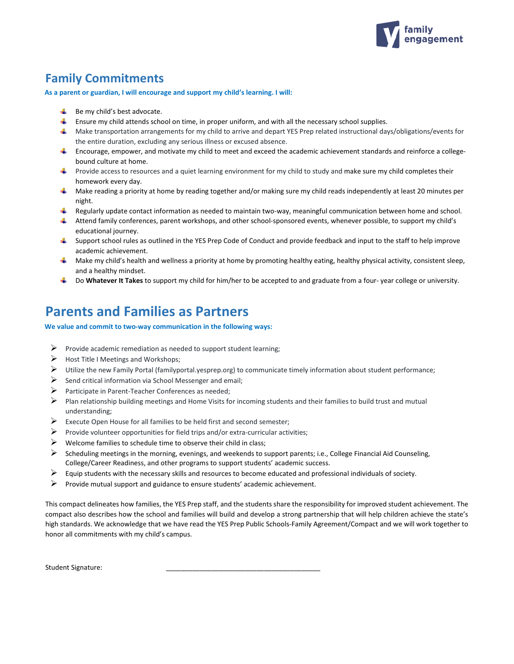

### **Family Commitments**

#### **As a parent or guardian, I will encourage and support my child's learning. I will:**

- $\frac{1}{2}$  Be my child's best advocate.
- **E** Ensure my child attends school on time, in proper uniform, and with all the necessary school supplies.
- Make transportation arrangements for my child to arrive and depart YES Prep related instructional days/obligations/events for the entire duration, excluding any serious illness or excused absence.
- Encourage, empower, and motivate my child to meet and exceed the academic achievement standards and reinforce a collegebound culture at home.
- $\blacktriangle$  Provide access to resources and a quiet learning environment for my child to study and make sure my child completes their homework every day.
- Make reading a priority at home by reading together and/or making sure my child reads independently at least 20 minutes per night.
- Regularly update contact information as needed to maintain two-way, meaningful communication between home and school.
- Attend family conferences, parent workshops, and other school-sponsored events, whenever possible, to support my child's educational journey.
- $\frac{1}{2}$  Support school rules as outlined in the YES Prep Code of Conduct and provide feedback and input to the staff to help improve academic achievement.
- $\blacktriangle$  Make my child's health and wellness a priority at home by promoting healthy eating, healthy physical activity, consistent sleep, and a healthy mindset.
- **Do Whatever It Takes** to support my child for him/her to be accepted to and graduate from a four-year college or university.

### **Parents and Families as Partners**

#### **We value and commit to two-way communication in the following ways:**

- $\triangleright$  Provide academic remediation as needed to support student learning;
- $\triangleright$  Host Title I Meetings and Workshops;
- $\triangleright$  Utilize the new Family Portal (familyportal.yesprep.org) to communicate timely information about student performance;
- $\triangleright$  Send critical information via School Messenger and email;
- Participate in Parent-Teacher Conferences as needed;
- $\triangleright$  Plan relationship building meetings and Home Visits for incoming students and their families to build trust and mutual understanding;
- $\triangleright$  Execute Open House for all families to be held first and second semester;
- $\triangleright$  Provide volunteer opportunities for field trips and/or extra-curricular activities;
- $\triangleright$  Welcome families to schedule time to observe their child in class;
- Scheduling meetings in the morning, evenings, and weekends to support parents; i.e., College Financial Aid Counseling, College/Career Readiness, and other programs to support students' academic success.
- $\triangleright$  Equip students with the necessary skills and resources to become educated and professional individuals of society.
- $\triangleright$  Provide mutual support and guidance to ensure students' academic achievement.

This compact delineates how families, the YES Prep staff, and the students share the responsibility for improved student achievement. The compact also describes how the school and families will build and develop a strong partnership that will help children achieve the state's high standards. We acknowledge that we have read the YES Prep Public Schools-Family Agreement/Compact and we will work together to honor all commitments with my child's campus.

Student Signature: